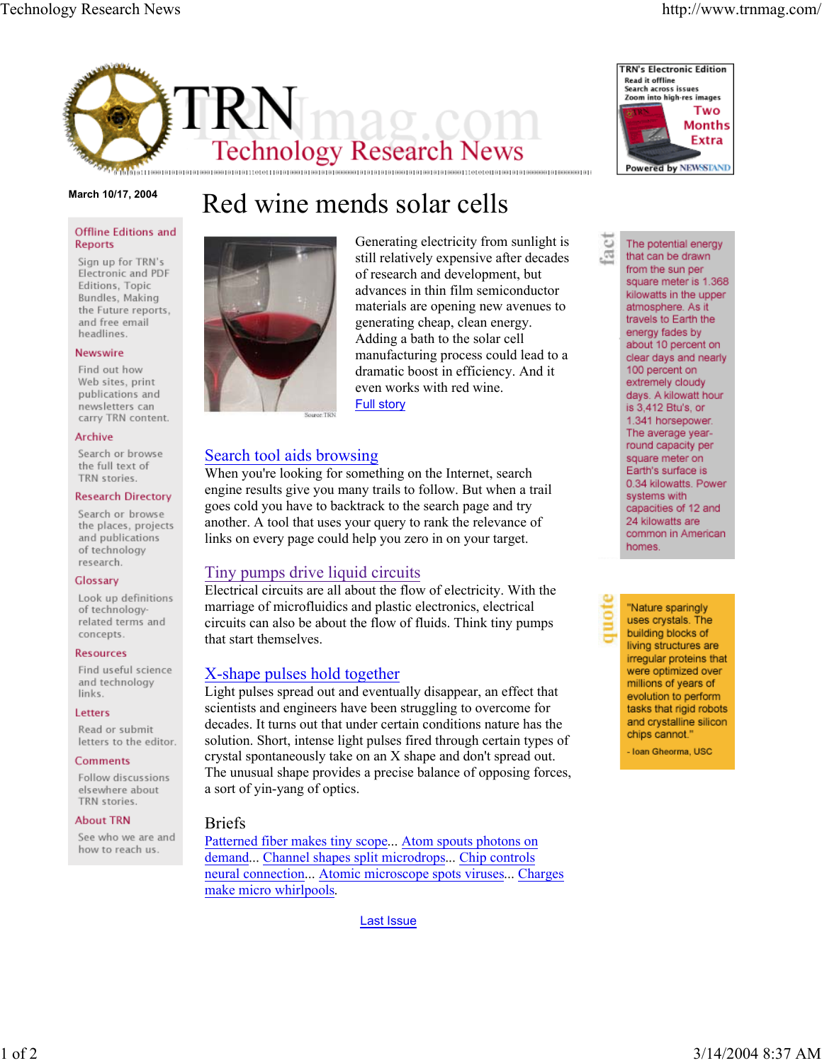# Technology Research News http://www.trnmag.com/



# **March 10/17, 2004**

# Offline Editions and **Reports**

Sign up for TRN's Electronic and PDF Editions, Topic Bundles, Making the Future reports, and free email headlines.

### Newswire

Find out how Web sites, print publications and newsletters can carry TRN content.

### Archive

Search or browse the full text of TRN stories.

# **Research Directory**

Search or browse the places, projects and publications of technology research.

# Glossary

Look up definitions of technologyrelated terms and concepts.

### **Resources**

Find useful science and technology links.

# Letters

Read or submit letters to the editor.

# Comments

Follow discussions elsewhere about TRN stories.

### **About TRN**

See who we are and how to reach us.

# Red wine mends solar cells



Generating electricity from sunlight is still relatively expensive after decades of research and development, but advances in thin film semiconductor materials are opening new avenues to generating cheap, clean energy. Adding a bath to the solar cell manufacturing process could lead to a dramatic boost in efficiency. And it even works with red wine. Full story

# Search tool aids browsing

When you're looking for something on the Internet, search engine results give you many trails to follow. But when a trail goes cold you have to backtrack to the search page and try another. A tool that uses your query to rank the relevance of links on every page could help you zero in on your target.

# Tiny pumps drive liquid circuits

Electrical circuits are all about the flow of electricity. With the marriage of microfluidics and plastic electronics, electrical circuits can also be about the flow of fluids. Think tiny pumps that start themselves.

# X-shape pulses hold together

Light pulses spread out and eventually disappear, an effect that scientists and engineers have been struggling to overcome for decades. It turns out that under certain conditions nature has the solution. Short, intense light pulses fired through certain types of crystal spontaneously take on an X shape and don't spread out. The unusual shape provides a precise balance of opposing forces, a sort of yin-yang of optics.

# Briefs

Patterned fiber makes tiny scope... Atom spouts photons on demand... Channel shapes split microdrops... Chip controls neural connection... Atomic microscope spots viruses... Charges make micro whirlpools.

Last Issue



The potential energy that can be drawn from the sun per square meter is 1.368 kilowatts in the upper atmosphere. As it travels to Earth the energy fades by about 10 percent on clear days and nearly 100 percent on extremely cloudy days. A kilowatt hour is 3,412 Btu's, or 1.341 horsepower. The average yearround capacity per square meter on Earth's surface is 0.34 kilowatts, Power systems with capacities of 12 and 24 kilowatts are common in American homes.

퓽

FD.

"Nature sparingly uses crystals. The building blocks of living structures are irregular proteins that were optimized over millions of years of evolution to perform tasks that rigid robots and crystalline silicon chips cannot."

- Ioan Gheorma, USC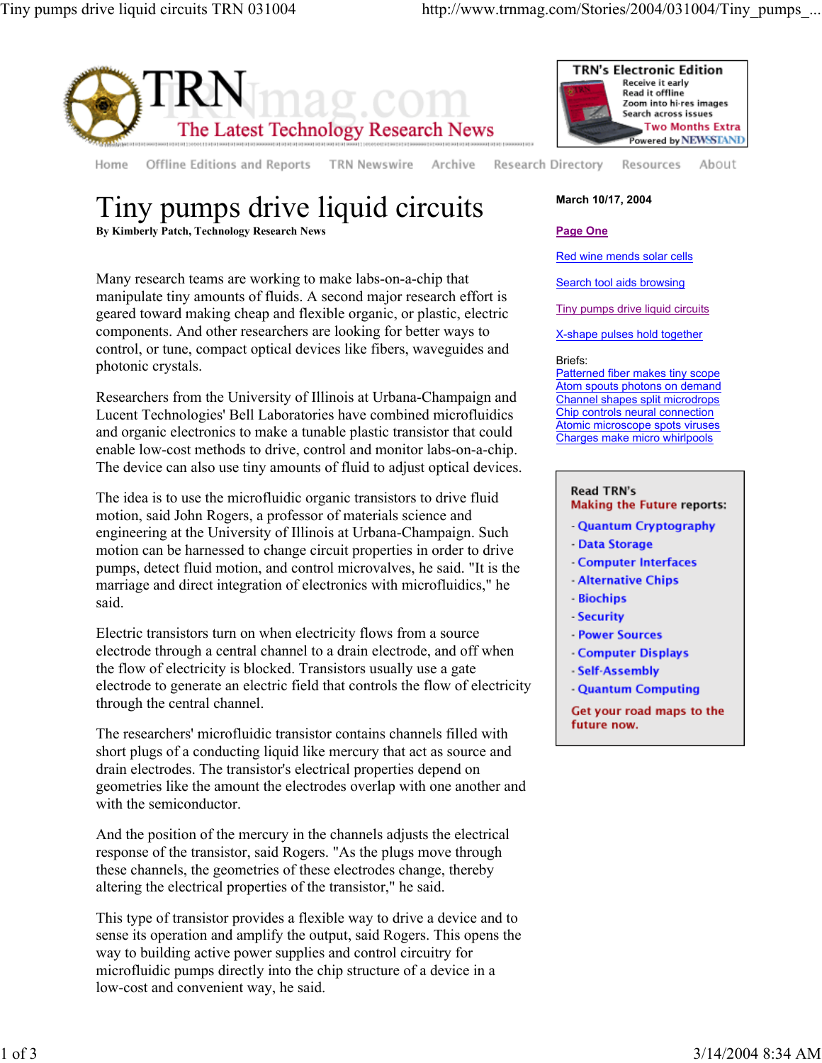

Home Offline Editions and Reports

TRN Newswire

Research Directory Archive



Resources

About

# Tiny pumps drive liquid circuits **March 10/17, 2004**

**By Kimberly Patch, Technology Research News Page One**

Many research teams are working to make labs-on-a-chip that manipulate tiny amounts of fluids. A second major research effort is geared toward making cheap and flexible organic, or plastic, electric components. And other researchers are looking for better ways to control, or tune, compact optical devices like fibers, waveguides and photonic crystals.

Researchers from the University of Illinois at Urbana-Champaign and Lucent Technologies' Bell Laboratories have combined microfluidics and organic electronics to make a tunable plastic transistor that could enable low-cost methods to drive, control and monitor labs-on-a-chip. The device can also use tiny amounts of fluid to adjust optical devices.

The idea is to use the microfluidic organic transistors to drive fluid motion, said John Rogers, a professor of materials science and engineering at the University of Illinois at Urbana-Champaign. Such motion can be harnessed to change circuit properties in order to drive pumps, detect fluid motion, and control microvalves, he said. "It is the marriage and direct integration of electronics with microfluidics," he said.

Electric transistors turn on when electricity flows from a source electrode through a central channel to a drain electrode, and off when the flow of electricity is blocked. Transistors usually use a gate electrode to generate an electric field that controls the flow of electricity through the central channel.

The researchers' microfluidic transistor contains channels filled with short plugs of a conducting liquid like mercury that act as source and drain electrodes. The transistor's electrical properties depend on geometries like the amount the electrodes overlap with one another and with the semiconductor.

And the position of the mercury in the channels adjusts the electrical response of the transistor, said Rogers. "As the plugs move through these channels, the geometries of these electrodes change, thereby altering the electrical properties of the transistor," he said.

This type of transistor provides a flexible way to drive a device and to sense its operation and amplify the output, said Rogers. This opens the way to building active power supplies and control circuitry for microfluidic pumps directly into the chip structure of a device in a low-cost and convenient way, he said.

Red wine mends solar cells

Search tool aids browsing

Tiny pumps drive liquid circuits

X-shape pulses hold together

# Briefs:

Patterned fiber makes tiny scope Atom spouts photons on demand Channel shapes split microdrops Chip controls neural connection Atomic microscope spots viruses Charges make micro whirlpools

### Read TRN's Making the Future reports:

- **Quantum Cryptography**
- Data Storage
- Computer Interfaces
- Alternative Chips
- Biochips
- Security
- Power Sources
- Computer Displays
- Self-Assembly
- Quantum Computing

Get your road maps to the future now.